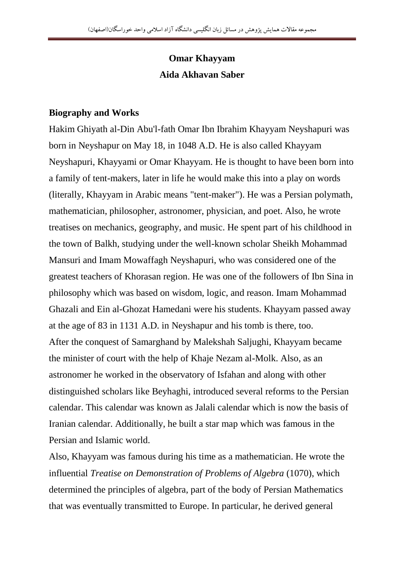## **Omar Khayyam Aida Akhavan Saber**

## **Biography and Works**

Hakim Ghiyath al-Din Abu'l-fath Omar Ibn Ibrahim Khayyam Neyshapuri was born in Neyshapur on May 18, in 1048 A.D. He is also called Khayyam Neyshapuri, Khayyami or Omar Khayyam. He is thought to have been born into a family of tent-makers, later in life he would make this into a play on words (literally, Khayyam in Arabic means "tent-maker"). He was a Persian polymath, mathematician, philosopher, astronomer, physician, and poet. Also, he wrote treatises on mechanics, geography, and music. He spent part of his childhood in the town of Balkh, studying under the well-known scholar Sheikh Mohammad Mansuri and Imam Mowaffagh Neyshapuri, who was considered one of the greatest teachers of Khorasan region. He was one of the followers of Ibn Sina in philosophy which was based on wisdom, logic, and reason. Imam Mohammad Ghazali and Ein al-Ghozat Hamedani were his students. Khayyam passed away at the age of 83 in 1131 A.D. in Neyshapur and his tomb is there, too. After the conquest of Samarghand by Malekshah Saljughi, Khayyam became the minister of court with the help of Khaje Nezam al-Molk. Also, as an astronomer he worked in the observatory of Isfahan and along with other distinguished scholars like Beyhaghi, introduced several reforms to the Persian calendar. This calendar was known as Jalali calendar which is now the basis of Iranian calendar. Additionally, he built a star map which was famous in the Persian and Islamic world.

Also, Khayyam was famous during his time as a mathematician. He wrote the influential *Treatise on Demonstration of Problems of Algebra* (1070), which determined the principles of algebra, part of the body of Persian Mathematics that was eventually transmitted to Europe. In particular, he derived general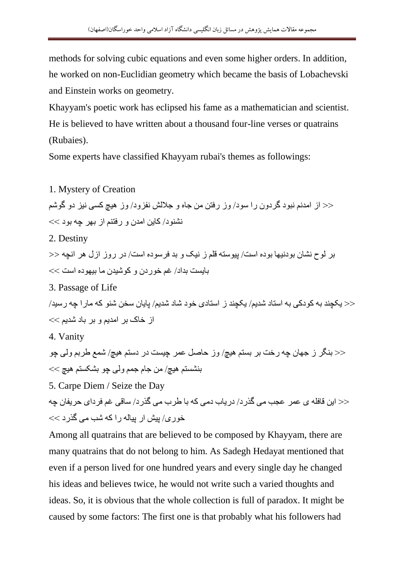methods for solving cubic equations and even some higher orders. In addition, he worked on non-Euclidian geometry which became the basis of Lobachevski and Einstein works on geometry.

Khayyam's poetic work has eclipsed his fame as a mathematician and scientist. He is believed to have written about a thousand four-line verses or quatrains (Rubaies).

Some experts have classified Khayyam rubai's themes as followings:

1. Mystery of Creation << از امدنم نبود گردون را سود/ وز رفتن من جاه و جلالش نفزود/ وز هیچ کسی نیز دو گوشّم  $\ll$  نشنو د/ کاین امدن و رفتنم از بهر چه بود  $\ll$ 2. Destiny بر لوح نشان بودنیها بوده است/ پیوسته قلم ز نیک و بد فرسوده است/ در روز ازل هر انچه << تایست تداد/ غم خور دن و کوشیدن ما تیپو ده است  $\lt\ll$ 3. Passage of Life  $>$  یکچند به کودکی به استاد شدیم/ یکچند ز استادی خود شاد شدیم/ پایان سخن شنو که مار ا چه رسید/ از خاک بر امدیم و بر باد شدیم $>$ 4. Vanity << بنگر ز جهان چه رخت بر بستم هیچ/ وز حاصل عمر چیست در دستم هیچ/ شمع طربم ولی چو  $<<$  بنشستم هيچ/ من جام جمم ولی چو بشکستم هيچ  $\ltimes$ 5. Carpe Diem / Seize the Day <<< این قافله ی عمر عجب می گذر د/ در یاب دمی که با طر ب می گذر د/ ساقی غم فر دای حر یفان چه  $\ll$ خُوری/ پیش ار پیاله را که شب می گذر د Among all quatrains that are believed to be composed by Khayyam, there are

many quatrains that do not belong to him. As Sadegh Hedayat mentioned that even if a person lived for one hundred years and every single day he changed his ideas and believes twice, he would not write such a varied thoughts and ideas. So, it is obvious that the whole collection is full of paradox. It might be caused by some factors: The first one is that probably what his followers had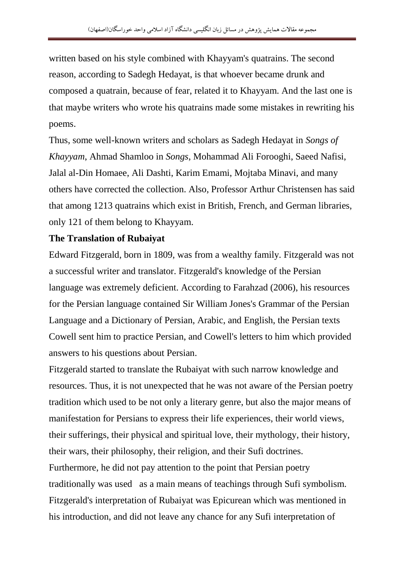written based on his style combined with Khayyam's quatrains. The second reason, according to Sadegh Hedayat, is that whoever became drunk and composed a quatrain, because of fear, related it to Khayyam. And the last one is that maybe writers who wrote his quatrains made some mistakes in rewriting his poems.

Thus, some well-known writers and scholars as Sadegh Hedayat in *Songs of Khayyam*, Ahmad Shamloo in *Songs*, Mohammad Ali Forooghi, Saeed Nafisi, Jalal al-Din Homaee, Ali Dashti, Karim Emami, Mojtaba Minavi, and many others have corrected the collection. Also, Professor Arthur Christensen has said that among 1213 quatrains which exist in British, French, and German libraries, only 121 of them belong to Khayyam.

## **The Translation of Rubaiyat**

Edward Fitzgerald, born in 1809, was from a wealthy family. Fitzgerald was not a successful writer and translator. Fitzgerald's knowledge of the Persian language was extremely deficient. According to Farahzad (2006), his resources for the Persian language contained Sir William Jones's Grammar of the Persian Language and a Dictionary of Persian, Arabic, and English, the Persian texts Cowell sent him to practice Persian, and Cowell's letters to him which provided answers to his questions about Persian.

Fitzgerald started to translate the Rubaiyat with such narrow knowledge and resources. Thus, it is not unexpected that he was not aware of the Persian poetry tradition which used to be not only a literary genre, but also the major means of manifestation for Persians to express their life experiences, their world views, their sufferings, their physical and spiritual love, their mythology, their history, their wars, their philosophy, their religion, and their Sufi doctrines. Furthermore, he did not pay attention to the point that Persian poetry traditionally was used as a main means of teachings through Sufi symbolism. Fitzgerald's interpretation of Rubaiyat was Epicurean which was mentioned in his introduction, and did not leave any chance for any Sufi interpretation of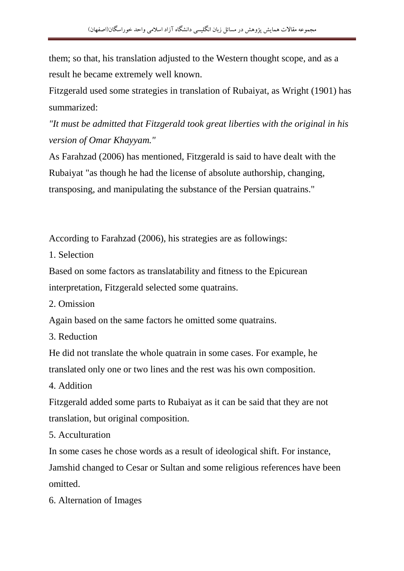them; so that, his translation adjusted to the Western thought scope, and as a result he became extremely well known.

Fitzgerald used some strategies in translation of Rubaiyat, as Wright (1901) has summarized:

*"It must be admitted that Fitzgerald took great liberties with the original in his version of Omar Khayyam."* 

As Farahzad (2006) has mentioned, Fitzgerald is said to have dealt with the Rubaiyat "as though he had the license of absolute authorship, changing, transposing, and manipulating the substance of the Persian quatrains."

According to Farahzad (2006), his strategies are as followings:

1. Selection

Based on some factors as translatability and fitness to the Epicurean interpretation, Fitzgerald selected some quatrains.

2. Omission

Again based on the same factors he omitted some quatrains.

3. Reduction

He did not translate the whole quatrain in some cases. For example, he translated only one or two lines and the rest was his own composition.

4. Addition

Fitzgerald added some parts to Rubaiyat as it can be said that they are not translation, but original composition.

5. Acculturation

In some cases he chose words as a result of ideological shift. For instance, Jamshid changed to Cesar or Sultan and some religious references have been omitted.

6. Alternation of Images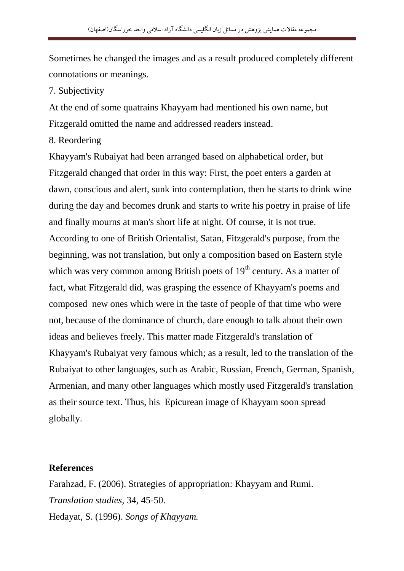Sometimes he changed the images and as a result produced completely different connotations or meanings.

7. Subjectivity

At the end of some quatrains Khayyam had mentioned his own name, but Fitzgerald omitted the name and addressed readers instead.

8. Reordering

Khayyam's Rubaiyat had been arranged based on alphabetical order, but Fitzgerald changed that order in this way: First, the poet enters a garden at dawn, conscious and alert, sunk into contemplation, then he starts to drink wine during the day and becomes drunk and starts to write his poetry in praise of life and finally mourns at man's short life at night. Of course, it is not true. According to one of British Orientalist, Satan, Fitzgerald's purpose, from the beginning, was not translation, but only a composition based on Eastern style which was very common among British poets of  $19<sup>th</sup>$  century. As a matter of fact, what Fitzgerald did, was grasping the essence of Khayyam's poems and composed new ones which were in the taste of people of that time who were not, because of the dominance of church, dare enough to talk about their own ideas and believes freely. This matter made Fitzgerald's translation of Khayyam's Rubaiyat very famous which; as a result, led to the translation of the Rubaiyat to other languages, such as Arabic, Russian, French, German, Spanish, Armenian, and many other languages which mostly used Fitzgerald's translation as their source text. Thus, his Epicurean image of Khayyam soon spread globally.

## **References**

Farahzad, F. (2006). Strategies of appropriation: Khayyam and Rumi. *Translation studies,* 34, 45-50. Hedayat, S. (1996). *Songs of Khayyam.*